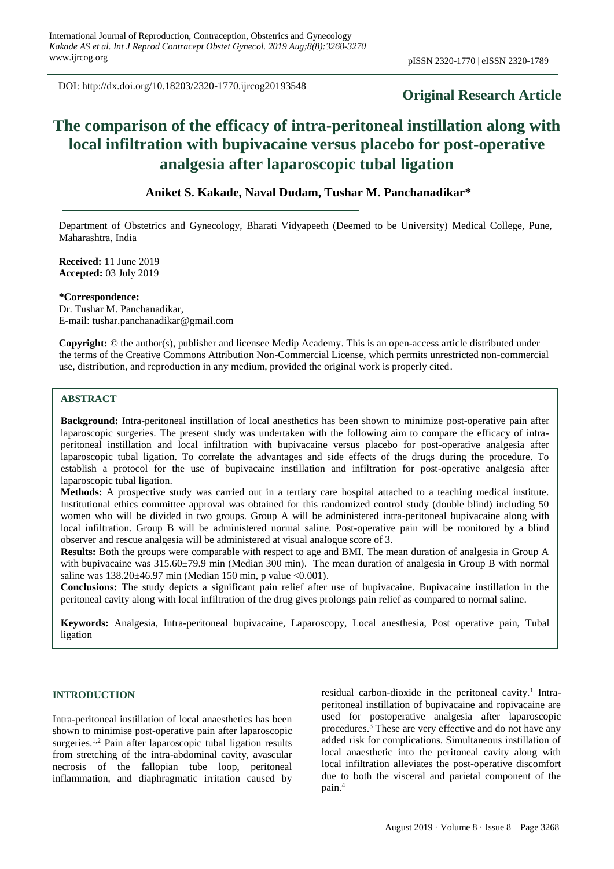DOI: http://dx.doi.org/10.18203/2320-1770.ijrcog20193548

# **Original Research Article**

# **The comparison of the efficacy of intra-peritoneal instillation along with local infiltration with bupivacaine versus placebo for post-operative analgesia after laparoscopic tubal ligation**

## **Aniket S. Kakade, Naval Dudam, Tushar M. Panchanadikar\***

Department of Obstetrics and Gynecology, Bharati Vidyapeeth (Deemed to be University) Medical College, Pune, Maharashtra, India

**Received:** 11 June 2019 **Accepted:** 03 July 2019

#### **\*Correspondence:**

Dr. Tushar M. Panchanadikar, E-mail: tushar.panchanadikar@gmail.com

**Copyright:** © the author(s), publisher and licensee Medip Academy. This is an open-access article distributed under the terms of the Creative Commons Attribution Non-Commercial License, which permits unrestricted non-commercial use, distribution, and reproduction in any medium, provided the original work is properly cited.

## **ABSTRACT**

**Background:** Intra-peritoneal instillation of local anesthetics has been shown to minimize post-operative pain after laparoscopic surgeries. The present study was undertaken with the following aim to compare the efficacy of intraperitoneal instillation and local infiltration with bupivacaine versus placebo for post-operative analgesia after laparoscopic tubal ligation. To correlate the advantages and side effects of the drugs during the procedure. To establish a protocol for the use of bupivacaine instillation and infiltration for post-operative analgesia after laparoscopic tubal ligation.

**Methods:** A prospective study was carried out in a tertiary care hospital attached to a teaching medical institute. Institutional ethics committee approval was obtained for this randomized control study (double blind) including 50 women who will be divided in two groups. Group A will be administered intra-peritoneal bupivacaine along with local infiltration. Group B will be administered normal saline. Post-operative pain will be monitored by a blind observer and rescue analgesia will be administered at visual analogue score of 3.

**Results:** Both the groups were comparable with respect to age and BMI. The mean duration of analgesia in Group A with bupivacaine was 315.60±79.9 min (Median 300 min). The mean duration of analgesia in Group B with normal saline was  $138.20 \pm 46.97$  min (Median 150 min, p value <0.001).

**Conclusions:** The study depicts a significant pain relief after use of bupivacaine. Bupivacaine instillation in the peritoneal cavity along with local infiltration of the drug gives prolongs pain relief as compared to normal saline.

**Keywords:** Analgesia, Intra-peritoneal bupivacaine, Laparoscopy, Local anesthesia, Post operative pain, Tubal ligation

## **INTRODUCTION**

Intra-peritoneal instillation of local anaesthetics has been shown to minimise post-operative pain after laparoscopic surgeries.<sup>1,2</sup> Pain after laparoscopic tubal ligation results from stretching of the intra-abdominal cavity, avascular necrosis of the fallopian tube loop, peritoneal inflammation, and diaphragmatic irritation caused by

residual carbon-dioxide in the peritoneal cavity.<sup>1</sup> Intraperitoneal instillation of bupivacaine and ropivacaine are used for postoperative analgesia after laparoscopic procedures. <sup>3</sup> These are very effective and do not have any added risk for complications. Simultaneous instillation of local anaesthetic into the peritoneal cavity along with local infiltration alleviates the post-operative discomfort due to both the visceral and parietal component of the pain.<sup>4</sup>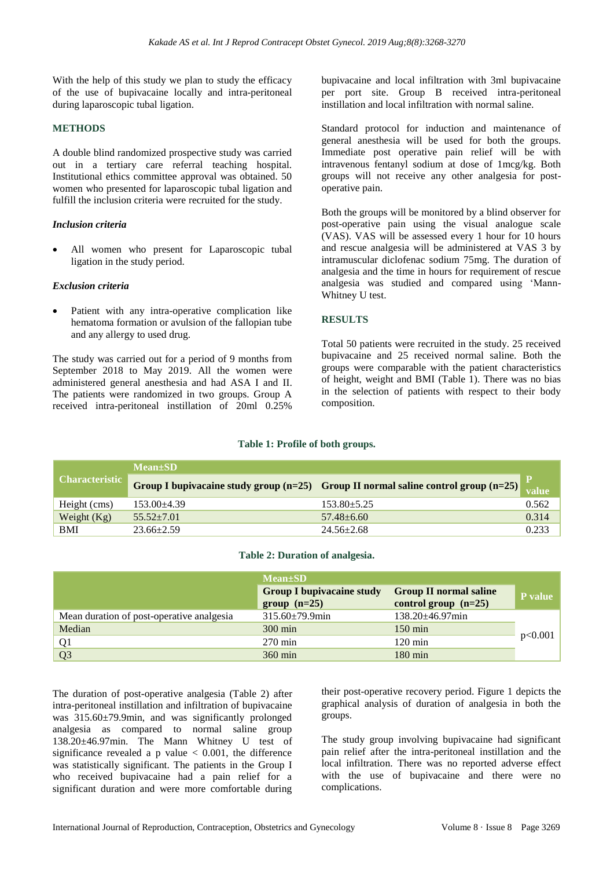With the help of this study we plan to study the efficacy of the use of bupivacaine locally and intra-peritoneal during laparoscopic tubal ligation.

#### **METHODS**

A double blind randomized prospective study was carried out in a tertiary care referral teaching hospital. Institutional ethics committee approval was obtained. 50 women who presented for laparoscopic tubal ligation and fulfill the inclusion criteria were recruited for the study.

#### *Inclusion criteria*

• All women who present for Laparoscopic tubal ligation in the study period.

#### *Exclusion criteria*

Patient with any intra-operative complication like hematoma formation or avulsion of the fallopian tube and any allergy to used drug.

The study was carried out for a period of 9 months from September 2018 to May 2019. All the women were administered general anesthesia and had ASA I and II. The patients were randomized in two groups. Group A received intra-peritoneal instillation of 20ml 0.25%

bupivacaine and local infiltration with 3ml bupivacaine per port site. Group B received intra-peritoneal instillation and local infiltration with normal saline.

Standard protocol for induction and maintenance of general anesthesia will be used for both the groups. Immediate post operative pain relief will be with intravenous fentanyl sodium at dose of 1mcg/kg. Both groups will not receive any other analgesia for postoperative pain.

Both the groups will be monitored by a blind observer for post-operative pain using the visual analogue scale (VAS). VAS will be assessed every 1 hour for 10 hours and rescue analgesia will be administered at VAS 3 by intramuscular diclofenac sodium 75mg. The duration of analgesia and the time in hours for requirement of rescue analgesia was studied and compared using 'Mann-Whitney U test.

#### **RESULTS**

Total 50 patients were recruited in the study. 25 received bupivacaine and 25 received normal saline. Both the groups were comparable with the patient characteristics of height, weight and BMI (Table 1). There was no bias in the selection of patients with respect to their body composition.

#### **Table 1: Profile of both groups.**

| <b>Characteristic</b> | $Mean \pm SD$    |                                                                                        |       |
|-----------------------|------------------|----------------------------------------------------------------------------------------|-------|
|                       |                  | Group I bupivacaine study group $(n=25)$ Group II normal saline control group $(n=25)$ | value |
| Height (cms)          | $153.00 + 4.39$  | $153.80 \pm 5.25$                                                                      | 0.562 |
| Weight $(Kg)$         | $55.52 + 7.01$   | $57.48 + 6.60$                                                                         | 0.314 |
| <b>BMI</b>            | $23.66 \pm 2.59$ | $24.56 \pm 2.68$                                                                       | 0.233 |

#### **Table 2: Duration of analgesia.**

|                                           | $Mean \pm SD$                                      |                                                         |         |
|-------------------------------------------|----------------------------------------------------|---------------------------------------------------------|---------|
|                                           | <b>Group I bupivacaine study</b><br>$group (n=25)$ | <b>Group II normal saline</b><br>control group $(n=25)$ | P value |
| Mean duration of post-operative analgesia | $315.60 \pm 79.9$ min                              | $138.20 \pm 46.97$ min                                  |         |
| Median                                    | $300 \text{ min}$                                  | $150 \text{ min}$                                       |         |
| Q <sub>1</sub>                            | $270 \text{ min}$                                  | $120 \text{ min}$                                       | p<0.001 |
| Q <sub>3</sub>                            | $360 \text{ min}$                                  | $180 \text{ min}$                                       |         |

The duration of post-operative analgesia (Table 2) after intra-peritoneal instillation and infiltration of bupivacaine was 315.60±79.9min, and was significantly prolonged analgesia as compared to normal saline group 138.20±46.97min. The Mann Whitney U test of significance revealed a p value  $< 0.001$ , the difference was statistically significant. The patients in the Group I who received bupivacaine had a pain relief for a significant duration and were more comfortable during

their post-operative recovery period. Figure 1 depicts the graphical analysis of duration of analgesia in both the groups.

The study group involving bupivacaine had significant pain relief after the intra-peritoneal instillation and the local infiltration. There was no reported adverse effect with the use of bupivacaine and there were no complications.